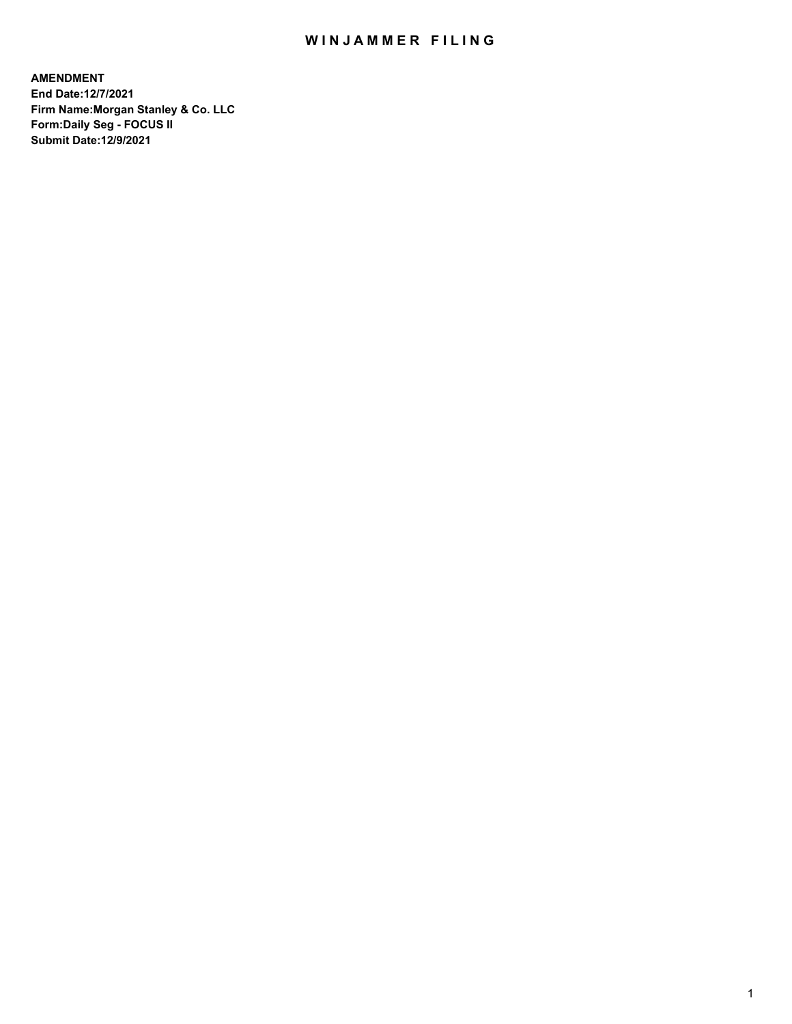# WIN JAMMER FILING

**AMENDMENT End Date:12/7/2021 Firm Name:Morgan Stanley & Co. LLC Form:Daily Seg - FOCUS II Submit Date:12/9/2021**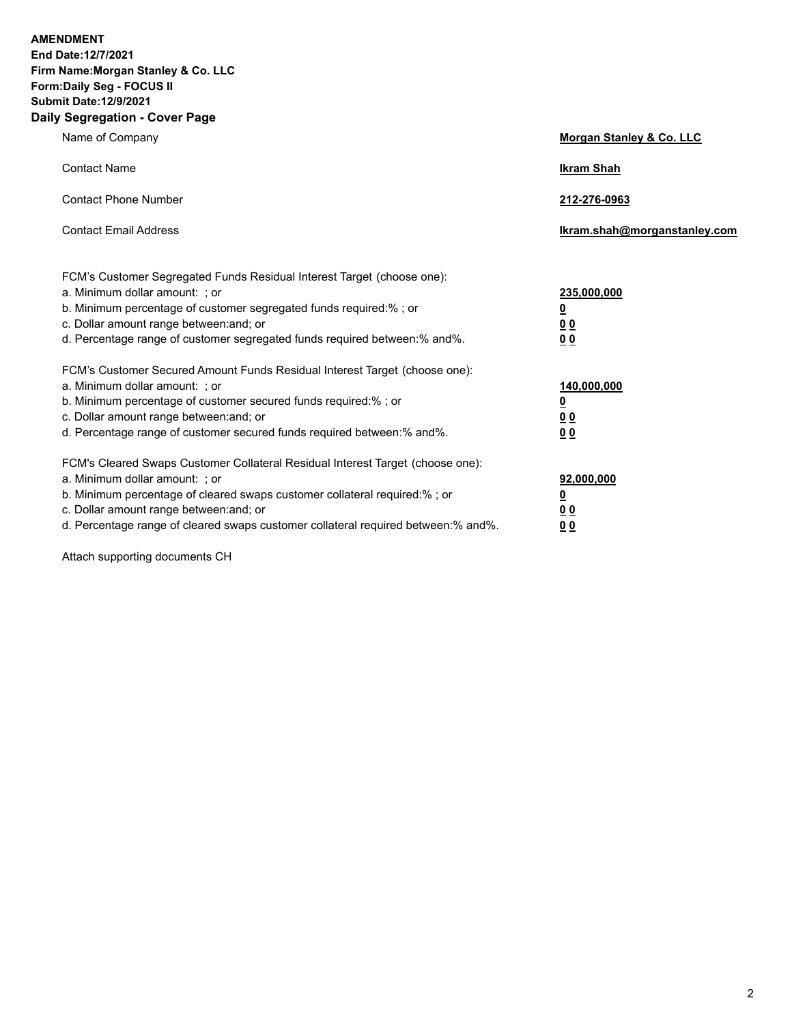**AMENDMENT** 

**End Date:12/7/2021 Firm Name:Morgan Stanley & Co. LLC Form:Daily Seg - FOCUS II Submit Date:12/9/2021 Daily Segregation - Cover Page**

| Name of Company                                                                                                                                                                                                                                                                                                                | Morgan Stanley & Co. LLC                               |
|--------------------------------------------------------------------------------------------------------------------------------------------------------------------------------------------------------------------------------------------------------------------------------------------------------------------------------|--------------------------------------------------------|
| <b>Contact Name</b>                                                                                                                                                                                                                                                                                                            | <b>Ikram Shah</b>                                      |
| <b>Contact Phone Number</b>                                                                                                                                                                                                                                                                                                    | 212-276-0963                                           |
| <b>Contact Email Address</b>                                                                                                                                                                                                                                                                                                   | Ikram.shah@morganstanley.com                           |
| FCM's Customer Segregated Funds Residual Interest Target (choose one):<br>a. Minimum dollar amount: ; or<br>b. Minimum percentage of customer segregated funds required:%; or<br>c. Dollar amount range between: and; or                                                                                                       | 235,000,000<br><u>0</u><br><u>00</u>                   |
| d. Percentage range of customer segregated funds required between:% and%.<br>FCM's Customer Secured Amount Funds Residual Interest Target (choose one):<br>a. Minimum dollar amount: ; or                                                                                                                                      | 0 Q<br>140,000,000                                     |
| b. Minimum percentage of customer secured funds required:% ; or<br>c. Dollar amount range between: and; or<br>d. Percentage range of customer secured funds required between:% and%.                                                                                                                                           | <u>0</u><br><u>00</u><br>0 <sup>0</sup>                |
| FCM's Cleared Swaps Customer Collateral Residual Interest Target (choose one):<br>a. Minimum dollar amount: ; or<br>b. Minimum percentage of cleared swaps customer collateral required:% ; or<br>c. Dollar amount range between: and; or<br>d. Percentage range of cleared swaps customer collateral required between:% and%. | 92,000,000<br><u>0</u><br><u>0 0</u><br>0 <sub>0</sub> |

Attach supporting documents CH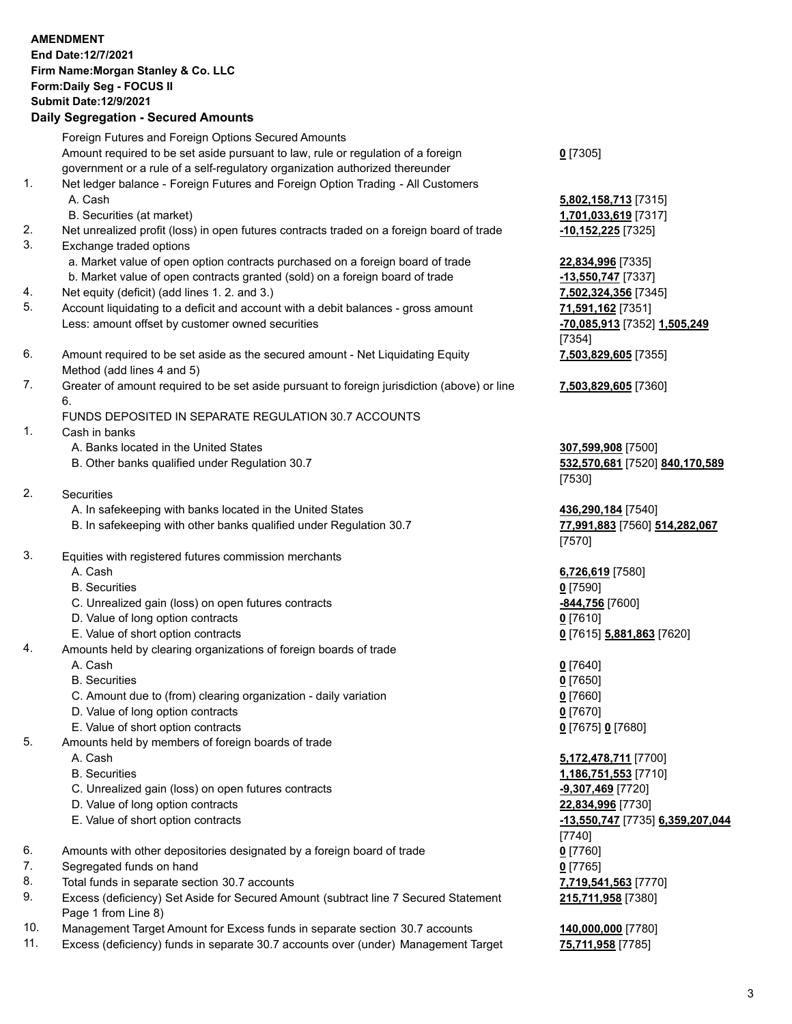## **AMENDMENT End Date:12/7/2021 Firm Name:Morgan Stanley & Co. LLC Form:Daily Seg - FOCUS II Submit Date:12/9/2021 Daily Segregation - Secured Amounts** Foreign Futures and Foreign Options Secured Amounts Amount required to be set aside pursuant to law, rule or regulation of a foreign

government or a rule of a self-regulatory organization authorized thereunder

- 1. Net ledger balance Foreign Futures and Foreign Option Trading All Customers A. Cash **5,802,158,713** [7315]
	- B. Securities (at market) **1,701,033,619** [7317]
- 2. Net unrealized profit (loss) in open futures contracts traded on a foreign board of trade **-10,152,225** [7325]
- 3. Exchange traded options
	- a. Market value of open option contracts purchased on a foreign board of trade **22,834,996** [7335]
	- b. Market value of open contracts granted (sold) on a foreign board of trade **-13,550,747** [7337]
- 4. Net equity (deficit) (add lines 1. 2. and 3.) **7,502,324,356** [7345]
- 5. Account liquidating to a deficit and account with a debit balances gross amount **71,591,162** [7351] Less: amount offset by customer owned securities **-70,085,913** [7352] **1,505,249**
- 6. Amount required to be set aside as the secured amount Net Liquidating Equity Method (add lines 4 and 5)
- 7. Greater of amount required to be set aside pursuant to foreign jurisdiction (above) or line 6.

## FUNDS DEPOSITED IN SEPARATE REGULATION 30.7 ACCOUNTS

- 1. Cash in banks
	- A. Banks located in the United States **307,599,908** [7500]
	- B. Other banks qualified under Regulation 30.7 **532,570,681** [7520] **840,170,589**
- 2. Securities
	- A. In safekeeping with banks located in the United States **436,290,184** [7540]
	- B. In safekeeping with other banks qualified under Regulation 30.7 **77,991,883** [7560] **514,282,067**
- 3. Equities with registered futures commission merchants
	-
	- B. Securities **0** [7590]
	- C. Unrealized gain (loss) on open futures contracts **-844,756** [7600]
	- D. Value of long option contracts **0** [7610]
	- E. Value of short option contracts **0** [7615] **5,881,863** [7620]
- 4. Amounts held by clearing organizations of foreign boards of trade
	-
	- B. Securities **0** [7650]
	- C. Amount due to (from) clearing organization daily variation **0** [7660]
	- D. Value of long option contracts **0** [7670]
	- E. Value of short option contracts **0** [7675] **0** [7680]
- 5. Amounts held by members of foreign boards of trade
	-
	-
	- C. Unrealized gain (loss) on open futures contracts **-9,307,469** [7720]
	- D. Value of long option contracts **22,834,996** [7730]
	-
- 6. Amounts with other depositories designated by a foreign board of trade **0** [7760]
- 7. Segregated funds on hand **0** [7765]
- 8. Total funds in separate section 30.7 accounts **7,719,541,563** [7770]
- 9. Excess (deficiency) Set Aside for Secured Amount (subtract line 7 Secured Statement Page 1 from Line 8)
- 10. Management Target Amount for Excess funds in separate section 30.7 accounts **140,000,000** [7780]
- 11. Excess (deficiency) funds in separate 30.7 accounts over (under) Management Target **75,711,958** [7785]

**0** [7305]

[7354] **7,503,829,605** [7355]

**7,503,829,605** [7360]

[7530]

[7570]

A. Cash **6,726,619** [7580]

A. Cash **0** [7640]

 A. Cash **5,172,478,711** [7700] B. Securities **1,186,751,553** [7710] E. Value of short option contracts **-13,550,747** [7735] **6,359,207,044** [7740] **215,711,958** [7380]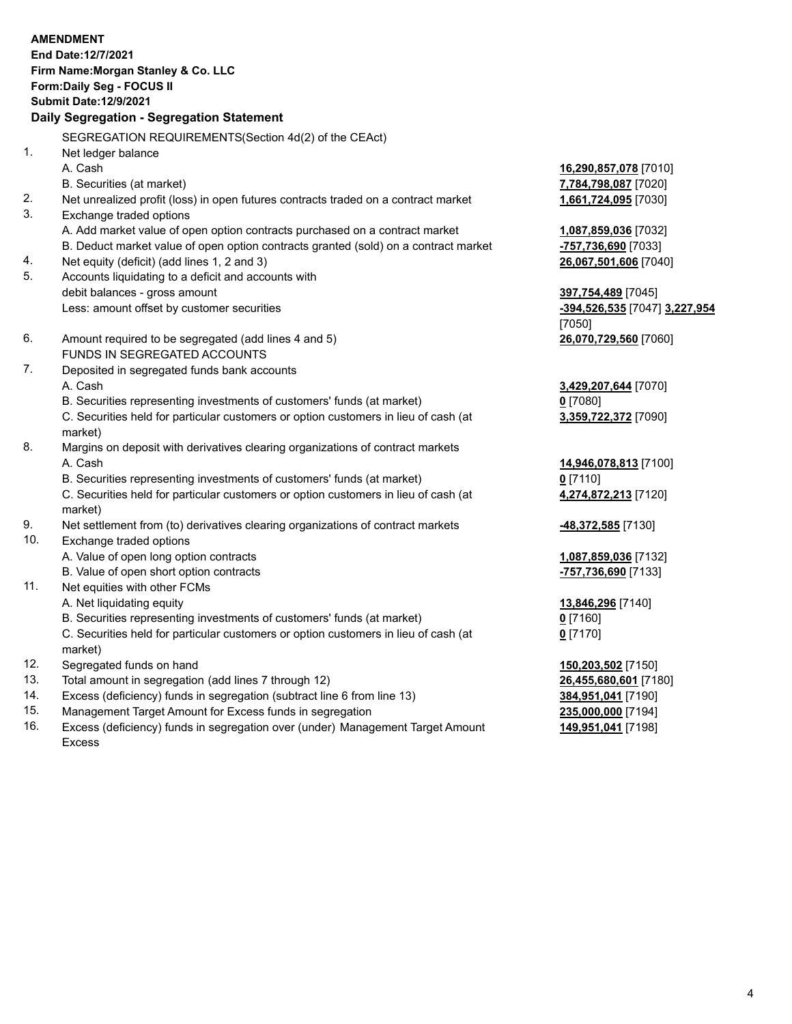#### **AMENDMENT End Date:12/7/2021 Firm Name:Morgan Stanley & Co. LLC Form:Daily Seg - FOCUS II Submit Date:12/9/2021 Daily Segregation - Segregation Statement** SEGREGATION REQUIREMENTS(Section 4d(2) of the CEAct) 1. Net ledger balance A. Cash **16,290,857,078** [7010] B. Securities (at market) **7,784,798,087** [7020] 2. Net unrealized profit (loss) in open futures contracts traded on a contract market **1,661,724,095** [7030] 3. Exchange traded options A. Add market value of open option contracts purchased on a contract market **1,087,859,036** [7032] B. Deduct market value of open option contracts granted (sold) on a contract market **-757,736,690** [7033] 4. Net equity (deficit) (add lines 1, 2 and 3) **26,067,501,606** [7040] 5. Accounts liquidating to a deficit and accounts with debit balances - gross amount **397,754,489** [7045] Less: amount offset by customer securities **-394,526,535** [7047] **3,227,954** [7050] 6. Amount required to be segregated (add lines 4 and 5) **26,070,729,560** [7060] FUNDS IN SEGREGATED ACCOUNTS 7. Deposited in segregated funds bank accounts A. Cash **3,429,207,644** [7070] B. Securities representing investments of customers' funds (at market) **0** [7080] C. Securities held for particular customers or option customers in lieu of cash (at market) **3,359,722,372** [7090] 8. Margins on deposit with derivatives clearing organizations of contract markets A. Cash **14,946,078,813** [7100] B. Securities representing investments of customers' funds (at market) **0** [7110] C. Securities held for particular customers or option customers in lieu of cash (at market) **4,274,872,213** [7120] 9. Net settlement from (to) derivatives clearing organizations of contract markets **-48,372,585** [7130] 10. Exchange traded options A. Value of open long option contracts **1,087,859,036** [7132] B. Value of open short option contracts **-757,736,690** [7133] 11. Net equities with other FCMs A. Net liquidating equity **13,846,296** [7140] B. Securities representing investments of customers' funds (at market) **0** [7160] C. Securities held for particular customers or option customers in lieu of cash (at market) **0** [7170] 12. Segregated funds on hand **150,203,502** [7150]

- 
- 13. Total amount in segregation (add lines 7 through 12) **26,455,680,601** [7180]
- 14. Excess (deficiency) funds in segregation (subtract line 6 from line 13) **384,951,041** [7190]
- 15. Management Target Amount for Excess funds in segregation **235,000,000** [7194]
- 16. Excess (deficiency) funds in segregation over (under) Management Target Amount Excess

**149,951,041** [7198]